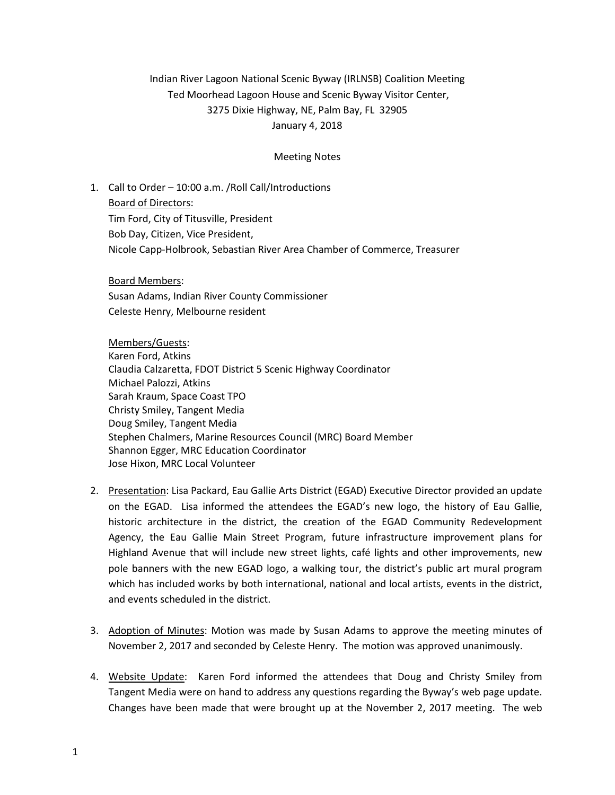## Indian River Lagoon National Scenic Byway (IRLNSB) Coalition Meeting Ted Moorhead Lagoon House and Scenic Byway Visitor Center, 3275 Dixie Highway, NE, Palm Bay, FL 32905 January 4, 2018

## Meeting Notes

1. Call to Order – 10:00 a.m. /Roll Call/Introductions Board of Directors: Tim Ford, City of Titusville, President Bob Day, Citizen, Vice President, Nicole Capp-Holbrook, Sebastian River Area Chamber of Commerce, Treasurer

Board Members: Susan Adams, Indian River County Commissioner Celeste Henry, Melbourne resident

Members/Guests: Karen Ford, Atkins Claudia Calzaretta, FDOT District 5 Scenic Highway Coordinator Michael Palozzi, Atkins Sarah Kraum, Space Coast TPO Christy Smiley, Tangent Media Doug Smiley, Tangent Media Stephen Chalmers, Marine Resources Council (MRC) Board Member Shannon Egger, MRC Education Coordinator Jose Hixon, MRC Local Volunteer

- 2. Presentation: Lisa Packard, Eau Gallie Arts District (EGAD) Executive Director provided an update on the EGAD. Lisa informed the attendees the EGAD's new logo, the history of Eau Gallie, historic architecture in the district, the creation of the EGAD Community Redevelopment Agency, the Eau Gallie Main Street Program, future infrastructure improvement plans for Highland Avenue that will include new street lights, café lights and other improvements, new pole banners with the new EGAD logo, a walking tour, the district's public art mural program which has included works by both international, national and local artists, events in the district, and events scheduled in the district.
- 3. Adoption of Minutes: Motion was made by Susan Adams to approve the meeting minutes of November 2, 2017 and seconded by Celeste Henry. The motion was approved unanimously.
- 4. Website Update: Karen Ford informed the attendees that Doug and Christy Smiley from Tangent Media were on hand to address any questions regarding the Byway's web page update. Changes have been made that were brought up at the November 2, 2017 meeting. The web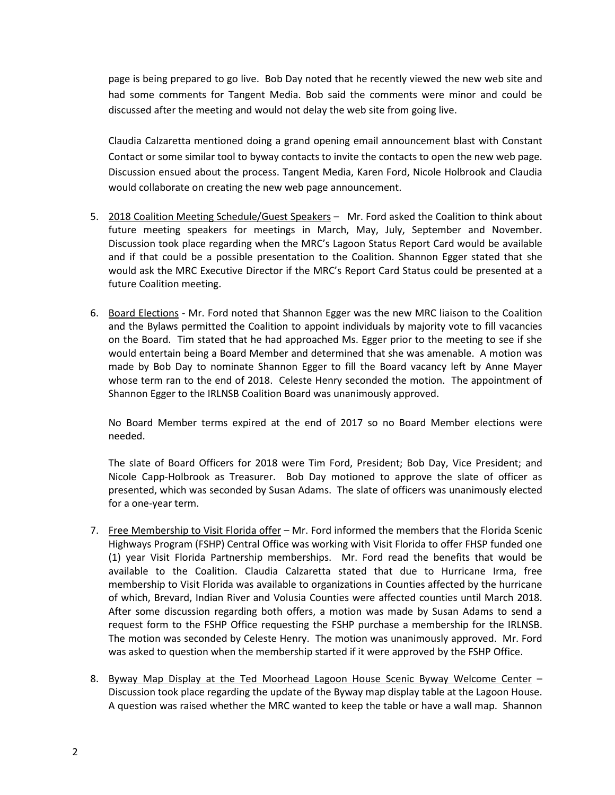page is being prepared to go live. Bob Day noted that he recently viewed the new web site and had some comments for Tangent Media. Bob said the comments were minor and could be discussed after the meeting and would not delay the web site from going live.

Claudia Calzaretta mentioned doing a grand opening email announcement blast with Constant Contact or some similar tool to byway contacts to invite the contacts to open the new web page. Discussion ensued about the process. Tangent Media, Karen Ford, Nicole Holbrook and Claudia would collaborate on creating the new web page announcement.

- 5. 2018 Coalition Meeting Schedule/Guest Speakers Mr. Ford asked the Coalition to think about future meeting speakers for meetings in March, May, July, September and November. Discussion took place regarding when the MRC's Lagoon Status Report Card would be available and if that could be a possible presentation to the Coalition. Shannon Egger stated that she would ask the MRC Executive Director if the MRC's Report Card Status could be presented at a future Coalition meeting.
- 6. Board Elections Mr. Ford noted that Shannon Egger was the new MRC liaison to the Coalition and the Bylaws permitted the Coalition to appoint individuals by majority vote to fill vacancies on the Board. Tim stated that he had approached Ms. Egger prior to the meeting to see if she would entertain being a Board Member and determined that she was amenable. A motion was made by Bob Day to nominate Shannon Egger to fill the Board vacancy left by Anne Mayer whose term ran to the end of 2018. Celeste Henry seconded the motion. The appointment of Shannon Egger to the IRLNSB Coalition Board was unanimously approved.

No Board Member terms expired at the end of 2017 so no Board Member elections were needed.

The slate of Board Officers for 2018 were Tim Ford, President; Bob Day, Vice President; and Nicole Capp-Holbrook as Treasurer. Bob Day motioned to approve the slate of officer as presented, which was seconded by Susan Adams. The slate of officers was unanimously elected for a one-year term.

- 7. Free Membership to Visit Florida offer Mr. Ford informed the members that the Florida Scenic Highways Program (FSHP) Central Office was working with Visit Florida to offer FHSP funded one (1) year Visit Florida Partnership memberships. Mr. Ford read the benefits that would be available to the Coalition. Claudia Calzaretta stated that due to Hurricane Irma, free membership to Visit Florida was available to organizations in Counties affected by the hurricane of which, Brevard, Indian River and Volusia Counties were affected counties until March 2018. After some discussion regarding both offers, a motion was made by Susan Adams to send a request form to the FSHP Office requesting the FSHP purchase a membership for the IRLNSB. The motion was seconded by Celeste Henry. The motion was unanimously approved. Mr. Ford was asked to question when the membership started if it were approved by the FSHP Office.
- 8. Byway Map Display at the Ted Moorhead Lagoon House Scenic Byway Welcome Center -Discussion took place regarding the update of the Byway map display table at the Lagoon House. A question was raised whether the MRC wanted to keep the table or have a wall map. Shannon